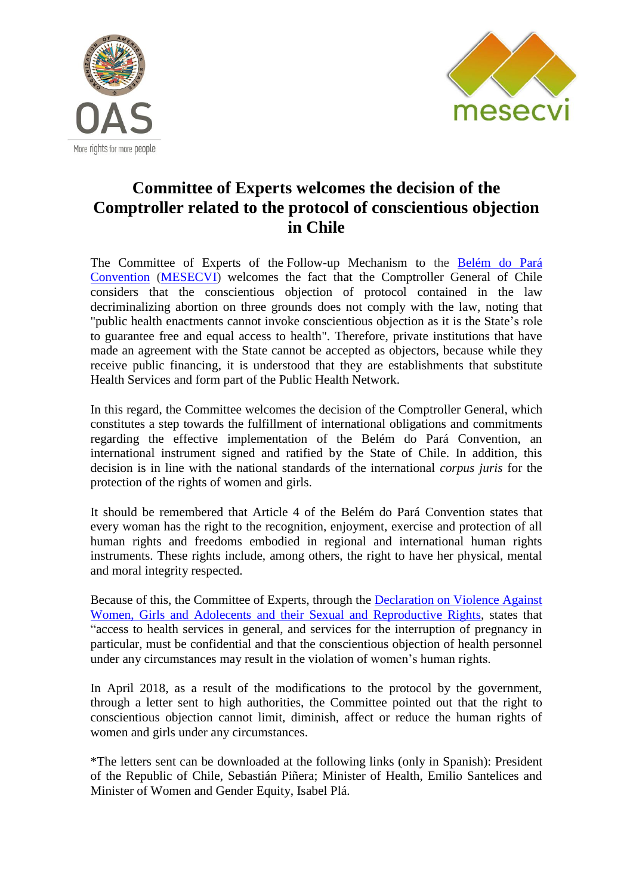



## **Committee of Experts welcomes the decision of the Comptroller related to the protocol of conscientious objection in Chile**

The Committee of Experts of the Follow-up Mechanism to the [Belém do Pará](http://www.oas.org/en/mesecvi/docs/BelemDoPara-ENGLISH.pdf)  [Convention](http://www.oas.org/en/mesecvi/docs/BelemDoPara-ENGLISH.pdf) [\(MESECVI\)](http://www.oas.org/en/mesecvi/about.asp) welcomes the fact that the Comptroller General of Chile considers that the conscientious objection of protocol contained in the law decriminalizing abortion on three grounds does not comply with the law, noting that "public health enactments cannot invoke conscientious objection as it is the State's role to guarantee free and equal access to health". Therefore, private institutions that have made an agreement with the State cannot be accepted as objectors, because while they receive public financing, it is understood that they are establishments that substitute Health Services and form part of the Public Health Network.

In this regard, the Committee welcomes the decision of the Comptroller General, which constitutes a step towards the fulfillment of international obligations and commitments regarding the effective implementation of the Belém do Pará Convention, an international instrument signed and ratified by the State of Chile. In addition, this decision is in line with the national standards of the international *corpus juris* for the protection of the rights of women and girls.

It should be remembered that Article 4 of the Belém do Pará Convention states that every woman has the right to the recognition, enjoyment, exercise and protection of all human rights and freedoms embodied in regional and international human rights instruments. These rights include, among others, the right to have her physical, mental and moral integrity respected.

Because of this, the Committee of Experts, through the [Declaration on Violence Against](http://www.oas.org/es/mesecvi/docs/DeclaracionDerechos-EN.pdf)  [Women, Girls and Adolecents and their Sexual and Reproductive Rights,](http://www.oas.org/es/mesecvi/docs/DeclaracionDerechos-EN.pdf) states that "access to health services in general, and services for the interruption of pregnancy in particular, must be confidential and that the conscientious objection of health personnel under any circumstances may result in the violation of women's human rights.

In April 2018, as a result of the modifications to the protocol by the government, through a letter sent to high authorities, the Committee pointed out that the right to conscientious objection cannot limit, diminish, affect or reduce the human rights of women and girls under any circumstances.

\*The letters sent can be downloaded at the following links (only in Spanish): President of the Republic of Chile, Sebastián Piñera; Minister of Health, Emilio Santelices and Minister of Women and Gender Equity, Isabel Plá.